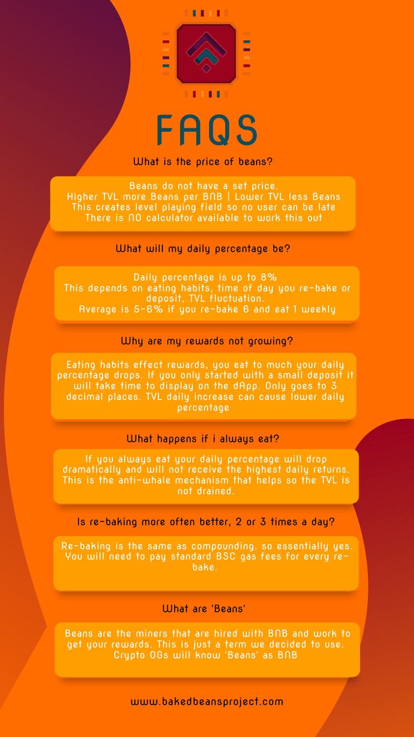#### What are 'Beans'



# FAQS

www.bakedbeansproject.com

Beans do not have a set price. Higher TVL more Beans per BNB | Lower TVL less Beans This creates level playing field so no user can be late There is NO calculator available to work this out

### What is the price of beans?

### What will my daily percentage be?

### Why are my rewards not growing?

Daily percentage is up to 8% This depends on eating habits, time of day you re-bake or deposit, TVL fluctuation. Average is 5-6% if you re-bake 6 and eat 1 weekly

### What happens if i always eat?

Eating habits effect rewards, you eat to much your daily percentage drops. If you only started with a small deposit it will take time to display on the dApp. Only goes to 3 decimal places. TVL daily increase can cause lower daily percentage

If you always eat your daily percentage will drop dramatically and will not receive the highest daily returns. This is the anti-whale mechanism that helps so the TVL is not drained.

Is re-baking more often better, 2 or 3 times a day?

Re-baking is the same as compounding. so essentially yes. You will need to pay standard BSC gas fees for every rebake.

Beans are the miners that are hired with BNB and work to get your rewards. This is just a term we decided to use. Crypto OGs will know 'Beans' as BNB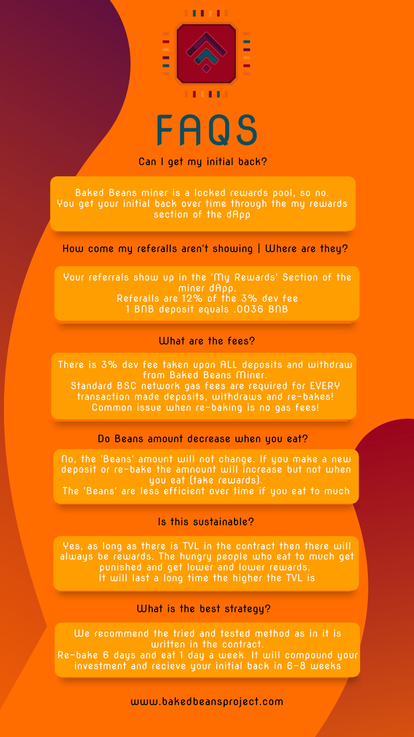

## FAQS

www.bakedbeansproject.com

### Can I get my initial back?

Baked Beans miner is a locked rewards pool, so no. You get your initial back over time through the my rewards section of the dApp

How come my referalls aren't showing | Where are they?

### What are the fees?

Your referrals show up in the 'My Rewards' Section of the miner dApp. Referalls are 12% of the 3% dev fee 1 BNB deposit equals .0036 BNB

### Do Beans amount decrease when you eat?

There is 3% dev fee taken upon ALL deposits and withdraw from Baked Beans Miner. Standard BSC network gas fees are required for EVERY transaction made deposits, withdraws and re-bakes! Common issue when re-baking is no gas fees!

No, the 'Beans' amount will not change. If you make a new deposit or re-bake the amnount will increase but not when you eat (take rewards).

The 'Beans' are less efficient over time if you eat to much

### Is this sustainable?

### What is the best strategy?

Yes, as long as there is TVL in the contract then there will always be rewards. The hungry people who eat to much get punished and get lower and lower rewards. It will last a long time the higher the TVL is

We recommend the tried and tested method as in it is written in the contract. Re-bake 6 days and eat 1 day a week. It will compound your investment and recieve your initial back in 6-8 weeks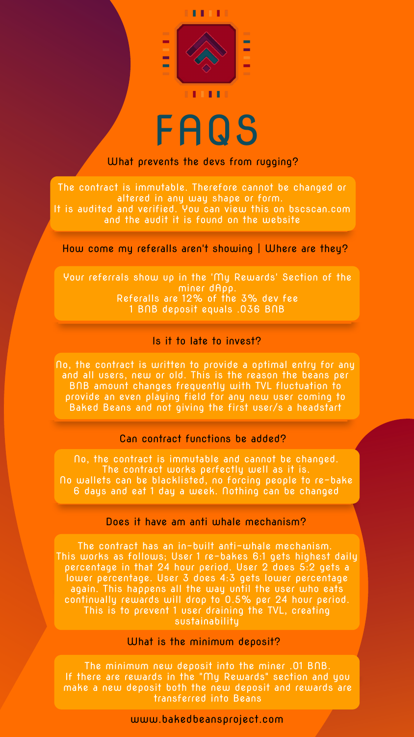

# FAQS

www.bakedbeansproject.com

### What prevents the devs from rugging?

How come my referalls aren't showing | Where are they?

The contract is immutable. Therefore cannot be changed or altered in any way shape or form. It is audited and verified. You can view this on bscscan.com and the audit it is found on the website

### Is it to late to invest?

Your referrals show up in the 'My Rewards' Section of the miner dApp. Referalls are 12% of the 3% dev fee 1 BNB deposit equals .036 BNB

### Can contract functions be added?

No, the contract is written to provide a optimal entry for any and all users, new or old. This is the reason the beans per BNB amount changes frequently with TVL fluctuation to provide an even playing field for any new user coming to Baked Beans and not giving the first user/s a headstart

No, the contract is immutable and cannot be changed. The contract works perfectly well as it is. No wallets can be blacklisted, no forcing people to re-bake 6 days and eat 1 day a week. Nothing can be changed

### Does it have am anti whale mechanism?

### What is the minimum deposit?

The contract has an in-built anti-whale mechanism. This works as follows; User 1 re-bakes 6:1 gets highest daily percentage in that 24 hour period. User 2 does 5:2 gets a lower percentage. User 3 does 4:3 gets lower percentage again. This happens all the way until the user who eats continually rewards will drop to 0.5% per 24 hour period. This is to prevent 1 user draining the TVL, creating sustainability

The minimum new deposit into the miner .01 BNB. If there are rewards in the "My Rewards" section and you make a new deposit both the new deposit and rewards are transferred into Beans